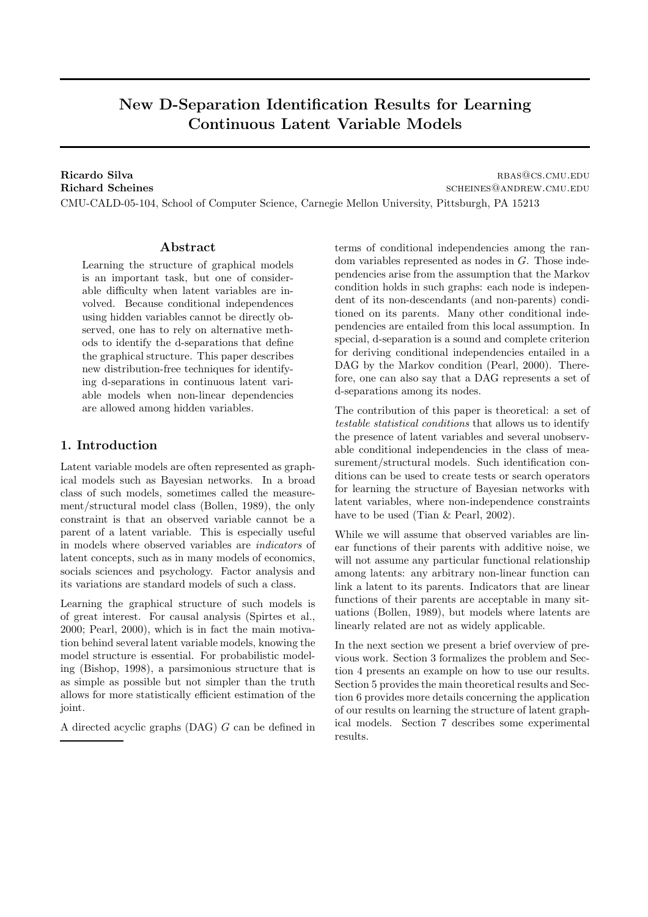# New D-Separation Identification Results for Learning Continuous Latent Variable Models

Ricardo Silva rbase results and the contract of the contract of the results of the results of the results of the results of the results of the results of the results of the results of the results of the results of the resu Richard Scheines scheiner scheiner scheiner scheiner scheiner scheiner scheiner scheiner scheiner scheiner scheiner scheiner scheiner scheiner scheiner scheiner scheiner scheiner scheiner scheiner scheiner scheiner scheine CMU-CALD-05-104, School of Computer Science, Carnegie Mellon University, Pittsburgh, PA 15213

# Abstract

Learning the structure of graphical models is an important task, but one of considerable difficulty when latent variables are involved. Because conditional independences using hidden variables cannot be directly observed, one has to rely on alternative methods to identify the d-separations that define the graphical structure. This paper describes new distribution-free techniques for identifying d-separations in continuous latent variable models when non-linear dependencies are allowed among hidden variables.

# 1. Introduction

Latent variable models are often represented as graphical models such as Bayesian networks. In a broad class of such models, sometimes called the measurement/structural model class (Bollen, 1989), the only constraint is that an observed variable cannot be a parent of a latent variable. This is especially useful in models where observed variables are indicators of latent concepts, such as in many models of economics, socials sciences and psychology. Factor analysis and its variations are standard models of such a class.

Learning the graphical structure of such models is of great interest. For causal analysis (Spirtes et al., 2000; Pearl, 2000), which is in fact the main motivation behind several latent variable models, knowing the model structure is essential. For probabilistic modeling (Bishop, 1998), a parsimonious structure that is as simple as possible but not simpler than the truth allows for more statistically efficient estimation of the joint.

A directed acyclic graphs (DAG) G can be defined in

terms of conditional independencies among the random variables represented as nodes in G. Those independencies arise from the assumption that the Markov condition holds in such graphs: each node is independent of its non-descendants (and non-parents) conditioned on its parents. Many other conditional independencies are entailed from this local assumption. In special, d-separation is a sound and complete criterion for deriving conditional independencies entailed in a DAG by the Markov condition (Pearl, 2000). Therefore, one can also say that a DAG represents a set of d-separations among its nodes.

The contribution of this paper is theoretical: a set of testable statistical conditions that allows us to identify the presence of latent variables and several unobservable conditional independencies in the class of measurement/structural models. Such identification conditions can be used to create tests or search operators for learning the structure of Bayesian networks with latent variables, where non-independence constraints have to be used (Tian & Pearl, 2002).

While we will assume that observed variables are linear functions of their parents with additive noise, we will not assume any particular functional relationship among latents: any arbitrary non-linear function can link a latent to its parents. Indicators that are linear functions of their parents are acceptable in many situations (Bollen, 1989), but models where latents are linearly related are not as widely applicable.

In the next section we present a brief overview of previous work. Section 3 formalizes the problem and Section 4 presents an example on how to use our results. Section 5 provides the main theoretical results and Section 6 provides more details concerning the application of our results on learning the structure of latent graphical models. Section 7 describes some experimental results.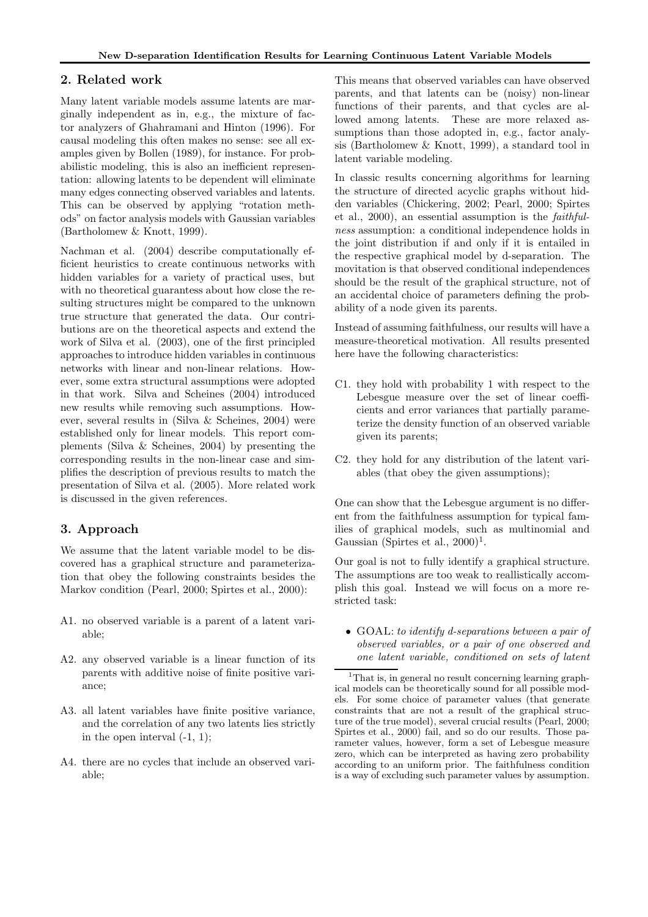# 2. Related work

Many latent variable models assume latents are marginally independent as in, e.g., the mixture of factor analyzers of Ghahramani and Hinton (1996). For causal modeling this often makes no sense: see all examples given by Bollen (1989), for instance. For probabilistic modeling, this is also an inefficient representation: allowing latents to be dependent will eliminate many edges connecting observed variables and latents. This can be observed by applying "rotation methods" on factor analysis models with Gaussian variables (Bartholomew & Knott, 1999).

Nachman et al. (2004) describe computationally efficient heuristics to create continuous networks with hidden variables for a variety of practical uses, but with no theoretical guarantess about how close the resulting structures might be compared to the unknown true structure that generated the data. Our contributions are on the theoretical aspects and extend the work of Silva et al. (2003), one of the first principled approaches to introduce hidden variables in continuous networks with linear and non-linear relations. However, some extra structural assumptions were adopted in that work. Silva and Scheines (2004) introduced new results while removing such assumptions. However, several results in (Silva & Scheines, 2004) were established only for linear models. This report complements (Silva & Scheines, 2004) by presenting the corresponding results in the non-linear case and simplifies the description of previous results to match the presentation of Silva et al. (2005). More related work is discussed in the given references.

# 3. Approach

We assume that the latent variable model to be discovered has a graphical structure and parameterization that obey the following constraints besides the Markov condition (Pearl, 2000; Spirtes et al., 2000):

- A1. no observed variable is a parent of a latent variable;
- A2. any observed variable is a linear function of its parents with additive noise of finite positive variance;
- A3. all latent variables have finite positive variance, and the correlation of any two latents lies strictly in the open interval  $(-1, 1)$ ;
- A4. there are no cycles that include an observed variable;

This means that observed variables can have observed parents, and that latents can be (noisy) non-linear functions of their parents, and that cycles are allowed among latents. These are more relaxed assumptions than those adopted in, e.g., factor analysis (Bartholomew & Knott, 1999), a standard tool in latent variable modeling.

In classic results concerning algorithms for learning the structure of directed acyclic graphs without hidden variables (Chickering, 2002; Pearl, 2000; Spirtes et al., 2000), an essential assumption is the faithfulness assumption: a conditional independence holds in the joint distribution if and only if it is entailed in the respective graphical model by d-separation. The movitation is that observed conditional independences should be the result of the graphical structure, not of an accidental choice of parameters defining the probability of a node given its parents.

Instead of assuming faithfulness, our results will have a measure-theoretical motivation. All results presented here have the following characteristics:

- C1. they hold with probability 1 with respect to the Lebesgue measure over the set of linear coefficients and error variances that partially parameterize the density function of an observed variable given its parents;
- C2. they hold for any distribution of the latent variables (that obey the given assumptions);

One can show that the Lebesgue argument is no different from the faithfulness assumption for typical families of graphical models, such as multinomial and Gaussian (Spirtes et al.,  $2000)^1$ .

Our goal is not to fully identify a graphical structure. The assumptions are too weak to reallistically accomplish this goal. Instead we will focus on a more restricted task:

• GOAL: to identify d-separations between a pair of observed variables, or a pair of one observed and one latent variable, conditioned on sets of latent

<sup>&</sup>lt;sup>1</sup>That is, in general no result concerning learning graphical models can be theoretically sound for all possible models. For some choice of parameter values (that generate constraints that are not a result of the graphical structure of the true model), several crucial results (Pearl, 2000; Spirtes et al., 2000) fail, and so do our results. Those parameter values, however, form a set of Lebesgue measure zero, which can be interpreted as having zero probability according to an uniform prior. The faithfulness condition is a way of excluding such parameter values by assumption.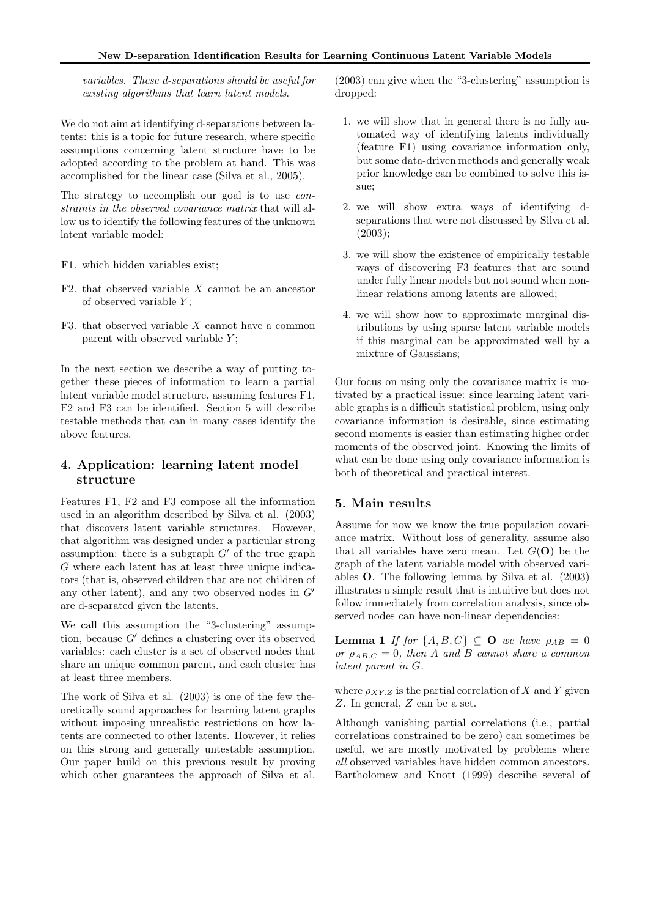variables. These d-separations should be useful for existing algorithms that learn latent models.

We do not aim at identifying d-separations between latents: this is a topic for future research, where specific assumptions concerning latent structure have to be adopted according to the problem at hand. This was accomplished for the linear case (Silva et al., 2005).

The strategy to accomplish our goal is to use *con*straints in the observed covariance matrix that will allow us to identify the following features of the unknown latent variable model:

- F1. which hidden variables exist;
- F2. that observed variable  $X$  cannot be an ancestor of observed variable  $Y$ ;
- F3. that observed variable  $X$  cannot have a common parent with observed variable  $Y$ ;

In the next section we describe a way of putting together these pieces of information to learn a partial latent variable model structure, assuming features F1, F2 and F3 can be identified. Section 5 will describe testable methods that can in many cases identify the above features.

# 4. Application: learning latent model structure

Features F1, F2 and F3 compose all the information used in an algorithm described by Silva et al. (2003) that discovers latent variable structures. However, that algorithm was designed under a particular strong assumption: there is a subgraph  $G'$  of the true graph G where each latent has at least three unique indicators (that is, observed children that are not children of any other latent), and any two observed nodes in  $G'$ are d-separated given the latents.

We call this assumption the "3-clustering" assumption, because G′ defines a clustering over its observed variables: each cluster is a set of observed nodes that share an unique common parent, and each cluster has at least three members.

The work of Silva et al. (2003) is one of the few theoretically sound approaches for learning latent graphs without imposing unrealistic restrictions on how latents are connected to other latents. However, it relies on this strong and generally untestable assumption. Our paper build on this previous result by proving which other guarantees the approach of Silva et al. (2003) can give when the "3-clustering" assumption is dropped:

- 1. we will show that in general there is no fully automated way of identifying latents individually (feature F1) using covariance information only, but some data-driven methods and generally weak prior knowledge can be combined to solve this issue;
- 2. we will show extra ways of identifying dseparations that were not discussed by Silva et al. (2003);
- 3. we will show the existence of empirically testable ways of discovering F3 features that are sound under fully linear models but not sound when nonlinear relations among latents are allowed;
- 4. we will show how to approximate marginal distributions by using sparse latent variable models if this marginal can be approximated well by a mixture of Gaussians;

Our focus on using only the covariance matrix is motivated by a practical issue: since learning latent variable graphs is a difficult statistical problem, using only covariance information is desirable, since estimating second moments is easier than estimating higher order moments of the observed joint. Knowing the limits of what can be done using only covariance information is both of theoretical and practical interest.

# 5. Main results

Assume for now we know the true population covariance matrix. Without loss of generality, assume also that all variables have zero mean. Let  $G(\mathbf{O})$  be the graph of the latent variable model with observed variables O. The following lemma by Silva et al. (2003) illustrates a simple result that is intuitive but does not follow immediately from correlation analysis, since observed nodes can have non-linear dependencies:

**Lemma 1** If for  $\{A, B, C\} \subseteq \mathbf{O}$  we have  $\rho_{AB} = 0$ or  $\rho_{AB,C} = 0$ , then A and B cannot share a common latent parent in G.

where  $\rho_{XY,Z}$  is the partial correlation of X and Y given Z. In general, Z can be a set.

Although vanishing partial correlations (i.e., partial correlations constrained to be zero) can sometimes be useful, we are mostly motivated by problems where all observed variables have hidden common ancestors. Bartholomew and Knott (1999) describe several of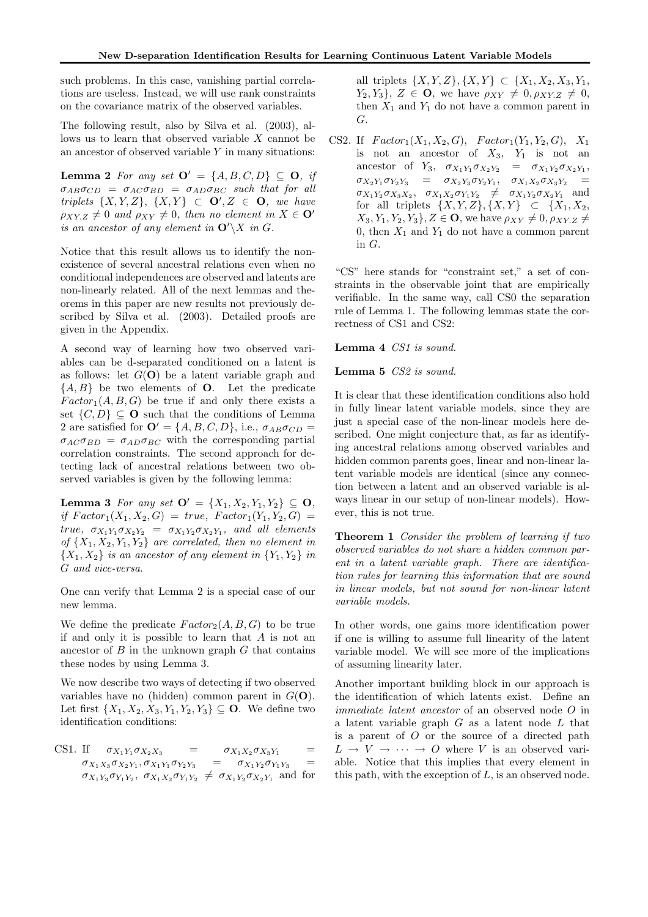such problems. In this case, vanishing partial correlations are useless. Instead, we will use rank constraints on the covariance matrix of the observed variables.

The following result, also by Silva et al. (2003), allows us to learn that observed variable X cannot be an ancestor of observed variable  $Y$  in many situations:

Lemma 2 For any set  $\mathbf{O}' = \{A, B, C, D\} \subseteq \mathbf{O}$ , if  $\sigma_{AB}\sigma_{CD} = \sigma_{AC}\sigma_{BD} = \sigma_{AD}\sigma_{BC}$  such that for all triplets  $\{X, Y, Z\}$ ,  $\{X, Y\} \subset \mathbf{O}'$ ,  $Z \in \mathbf{O}$ , we have  $\rho_{XY,Z} \neq 0$  and  $\rho_{XY} \neq 0$ , then no element in  $X \in \mathbf{O}'$ is an ancestor of any element in  $\mathbf{O}'\backslash X$  in G.

Notice that this result allows us to identify the nonexistence of several ancestral relations even when no conditional independences are observed and latents are non-linearly related. All of the next lemmas and theorems in this paper are new results not previously described by Silva et al. (2003). Detailed proofs are given in the Appendix.

A second way of learning how two observed variables can be d-separated conditioned on a latent is as follows: let  $G(\mathbf{O})$  be a latent variable graph and  ${A, B}$  be two elements of **O**. Let the predicate  $Factor_1(A, B, G)$  be true if and only there exists a set  $\{C, D\} \subset \mathbf{O}$  such that the conditions of Lemma 2 are satisfied for  $\mathbf{O}' = \{A, B, C, D\}$ , i.e.,  $\sigma_{AB}\sigma_{CD} =$  $\sigma_{AC} \sigma_{BD} = \sigma_{AD} \sigma_{BC}$  with the corresponding partial correlation constraints. The second approach for detecting lack of ancestral relations between two observed variables is given by the following lemma:

Lemma 3 For any set  $\mathbf{O}' = \{X_1, X_2, Y_1, Y_2\} \subseteq \mathbf{O}$ , if  $Factor_1(X_1, X_2, G) = true$ ,  $Factor_1(Y_1, Y_2, G) =$ true,  $\sigma_{X_1 Y_1} \sigma_{X_2 Y_2} = \sigma_{X_1 Y_2} \sigma_{X_2 Y_1}$ , and all elements of  $\{X_1, X_2, Y_1, Y_2\}$  are correlated, then no element in  ${X_1, X_2}$  is an ancestor of any element in  ${Y_1, Y_2}$  in G and vice-versa.

One can verify that Lemma 2 is a special case of our new lemma.

We define the predicate  $Factor_2(A, B, G)$  to be true if and only it is possible to learn that  $A$  is not an ancestor of  $B$  in the unknown graph  $G$  that contains these nodes by using Lemma 3.

We now describe two ways of detecting if two observed variables have no (hidden) common parent in  $G(\mathbf{O})$ . Let first  $\{X_1, X_2, X_3, Y_1, Y_2, Y_3\} \subseteq \mathbf{O}$ . We define two identification conditions:

CS1. If  $\sigma_{X_1 Y_1} \sigma_{X_2 X_3} = \sigma_{X_1 X_2} \sigma_{X_3 Y_1} =$  $\sigma_{X_1X_3}\sigma_{X_2Y_1}, \sigma_{X_1Y_1}\sigma_{Y_2Y_3} = \sigma_{X_1Y_2}\sigma_{Y_1Y_3} =$  $\sigma_{X_1Y_3}\sigma_{Y_1Y_2}, \sigma_{X_1X_2}\sigma_{Y_1Y_2} \neq \sigma_{X_1Y_2}\sigma_{X_2Y_1}$  and for all triplets  $\{X, Y, Z\}, \{X, Y\} \subset \{X_1, X_2, X_3, Y_1,$  $Y_2, Y_3\}, Z \in \mathbf{O}$ , we have  $\rho_{XY} \neq 0, \rho_{XY,Z} \neq 0$ , then  $X_1$  and  $Y_1$  do not have a common parent in G.

CS2. If  $Factor_1(X_1, X_2, G)$ ,  $Factor_1(Y_1, Y_2, G)$ ,  $X_1$ is not an ancestor of  $X_3$ ,  $Y_1$  is not an ancestor of  $Y_3$ ,  $\sigma_{X_1 Y_1} \sigma_{X_2 Y_2} = \sigma_{X_1 Y_2} \sigma_{X_2 Y_1}$ ,  $\sigma_{X_2Y_1}\sigma_{Y_2Y_3} = \sigma_{X_2Y_3}\sigma_{Y_2Y_1}, \quad \sigma_{X_1X_2}\sigma_{X_3Y_2} =$  $\sigma_{X_1Y_2}\sigma_{X_3X_2}, \quad \sigma_{X_1X_2}\sigma_{Y_1Y_2} \neq \sigma_{X_1Y_2}\sigma_{X_2Y_1}$  and for all triplets  $\{X, Y, Z\}, \{X, Y\} \subset \{X_1, X_2,$  $X_3, Y_1, Y_2, Y_3\}, Z \in \mathbf{O}$ , we have  $\rho_{XY} \neq 0, \rho_{XY,Z} \neq 0$ 0, then  $X_1$  and  $Y_1$  do not have a common parent in G.

"CS" here stands for "constraint set," a set of constraints in the observable joint that are empirically verifiable. In the same way, call CS0 the separation rule of Lemma 1. The following lemmas state the correctness of CS1 and CS2:

Lemma 4 CS1 is sound.

#### Lemma 5 CS2 is sound.

It is clear that these identification conditions also hold in fully linear latent variable models, since they are just a special case of the non-linear models here described. One might conjecture that, as far as identifying ancestral relations among observed variables and hidden common parents goes, linear and non-linear latent variable models are identical (since any connection between a latent and an observed variable is always linear in our setup of non-linear models). However, this is not true.

Theorem 1 Consider the problem of learning if two observed variables do not share a hidden common parent in a latent variable graph. There are identification rules for learning this information that are sound in linear models, but not sound for non-linear latent variable models.

In other words, one gains more identification power if one is willing to assume full linearity of the latent variable model. We will see more of the implications of assuming linearity later.

Another important building block in our approach is the identification of which latents exist. Define an immediate latent ancestor of an observed node O in a latent variable graph  $G$  as a latent node  $L$  that is a parent of  $O$  or the source of a directed path  $L \rightarrow V \rightarrow \cdots \rightarrow O$  where V is an observed variable. Notice that this implies that every element in this path, with the exception of  $L$ , is an observed node.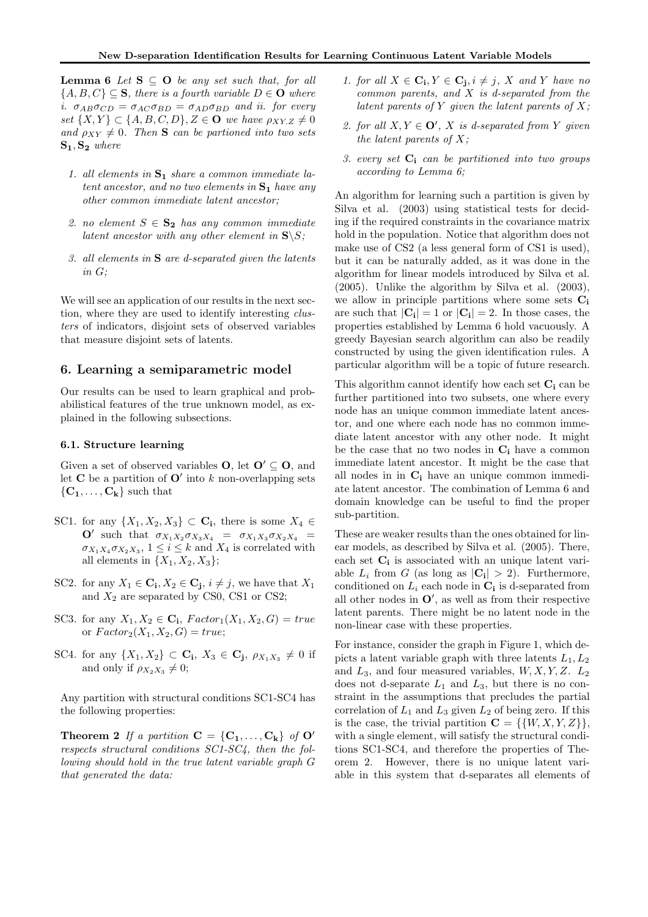**Lemma 6** Let  $S \subseteq O$  be any set such that, for all  ${A, B, C} \subseteq S$ , there is a fourth variable  $D \in \mathbf{O}$  where i.  $\sigma_{AB}\sigma_{CD} = \sigma_{AC}\sigma_{BD} = \sigma_{AD}\sigma_{BD}$  and ii. for every set  $\{X, Y\} \subset \{A, B, C, D\}, Z \in \mathbf{O}$  we have  $\rho_{XY,Z} \neq 0$ and  $\rho_{XY} \neq 0$ . Then **S** can be partioned into two sets  $S_1, S_2$  where

- 1. all elements in  $S_1$  share a common immediate latent ancestor, and no two elements in  $S_1$  have any other common immediate latent ancestor;
- 2. no element  $S \in \mathbf{S_2}$  has any common immediate latent ancestor with any other element in  $S\$ S;
- 3. all elements in S are d-separated given the latents in G;

We will see an application of our results in the next section, where they are used to identify interesting clusters of indicators, disjoint sets of observed variables that measure disjoint sets of latents.

## 6. Learning a semiparametric model

Our results can be used to learn graphical and probabilistical features of the true unknown model, as explained in the following subsections.

#### 6.1. Structure learning

Given a set of observed variables **O**, let  $O' \subseteq O$ , and let **C** be a partition of  $O'$  into k non-overlapping sets  ${C_1, \ldots, C_k}$  such that

- SC1. for any  $\{X_1, X_2, X_3\} \subset \mathbf{C_i}$ , there is some  $X_4 \in$  $O'$  such that  $\sigma_{X_1X_2}\sigma_{X_3X_4} = \sigma_{X_1X_3}\sigma_{X_2X_4}$  =  $\sigma_{X_1 X_4} \sigma_{X_2 X_3}$ ,  $1 \leq i \leq k$  and  $X_4$  is correlated with all elements in  $\{X_1, X_2, X_3\};$
- SC2. for any  $X_1 \in \mathbf{C}_i, X_2 \in \mathbf{C}_j, i \neq j$ , we have that  $X_1$ and  $X_2$  are separated by CS0, CS1 or CS2;
- SC3. for any  $X_1, X_2 \in \mathbf{C_i}$ ,  $Factor_1(X_1, X_2, G) = true$ or  $Factor_2(X_1, X_2, G) = true;$
- SC4. for any  $\{X_1, X_2\} \subset \mathbf{C_i}$ ,  $X_3 \in \mathbf{C_j}$ ,  $\rho_{X_1 X_3} \neq 0$  if and only if  $\rho_{X_2X_3} \neq 0$ ;

Any partition with structural conditions SC1-SC4 has the following properties:

**Theorem 2** If a partition  $C = \{C_1, \ldots, C_k\}$  of  $O'$ respects structural conditions SC1-SC4, then the following should hold in the true latent variable graph G that generated the data:

- 1. for all  $X \in \mathbf{C_i}, Y \in \mathbf{C_j}, i \neq j$ , X and Y have no common parents, and X is d-separated from the latent parents of Y given the latent parents of  $X$ ;
- 2. for all  $X, Y \in \mathbf{O}'$ , X is d-separated from Y given the latent parents of  $X$ ;
- 3. every set  $C_i$  can be partitioned into two groups according to Lemma 6;

An algorithm for learning such a partition is given by Silva et al. (2003) using statistical tests for deciding if the required constraints in the covariance matrix hold in the population. Notice that algorithm does not make use of CS2 (a less general form of CS1 is used), but it can be naturally added, as it was done in the algorithm for linear models introduced by Silva et al. (2005). Unlike the algorithm by Silva et al. (2003), we allow in principle partitions where some sets  $C_i$ are such that  $|\mathbf{C_i}| = 1$  or  $|\mathbf{C_i}| = 2$ . In those cases, the properties established by Lemma 6 hold vacuously. A greedy Bayesian search algorithm can also be readily constructed by using the given identification rules. A particular algorithm will be a topic of future research.

This algorithm cannot identify how each set  $C_i$  can be further partitioned into two subsets, one where every node has an unique common immediate latent ancestor, and one where each node has no common immediate latent ancestor with any other node. It might be the case that no two nodes in  $C_i$  have a common immediate latent ancestor. It might be the case that all nodes in in  $C_i$  have an unique common immediate latent ancestor. The combination of Lemma 6 and domain knowledge can be useful to find the proper sub-partition.

These are weaker results than the ones obtained for linear models, as described by Silva et al. (2005). There, each set  $C_i$  is associated with an unique latent variable  $L_i$  from G (as long as  $|\mathbf{C_i}| > 2$ ). Furthermore, conditioned on  $L_i$  each node in  $\mathbf{C_i}$  is d-separated from all other nodes in  $O'$ , as well as from their respective latent parents. There might be no latent node in the non-linear case with these properties.

For instance, consider the graph in Figure 1, which depicts a latent variable graph with three latents  $L_1, L_2$ and  $L_3$ , and four measured variables,  $W, X, Y, Z$ .  $L_2$ does not d-separate  $L_1$  and  $L_3$ , but there is no constraint in the assumptions that precludes the partial correlation of  $L_1$  and  $L_3$  given  $L_2$  of being zero. If this is the case, the trivial partition  $C = \{ \{W, X, Y, Z\} \},\$ with a single element, will satisfy the structural conditions SC1-SC4, and therefore the properties of Theorem 2. However, there is no unique latent variable in this system that d-separates all elements of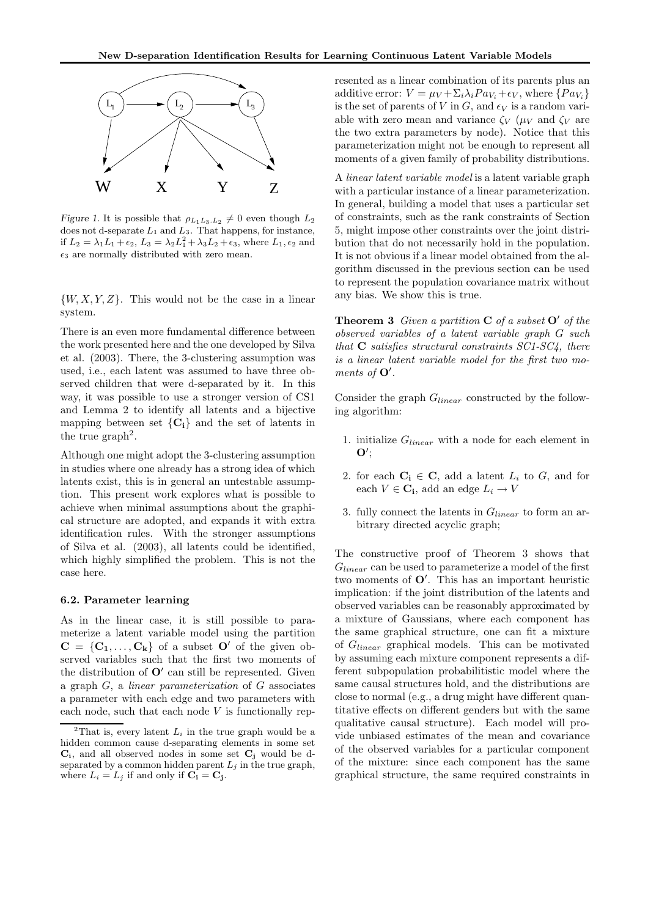

Figure 1. It is possible that  $\rho_{L_1L_3,L_2} \neq 0$  even though  $L_2$ does not d-separate  $L_1$  and  $L_3$ . That happens, for instance, if  $L_2 = \lambda_1 L_1 + \epsilon_2$ ,  $L_3 = \lambda_2 L_1^2 + \lambda_3 L_2 + \epsilon_3$ , where  $L_1, \epsilon_2$  and  $\epsilon_3$  are normally distributed with zero mean.

 $\{W, X, Y, Z\}$ . This would not be the case in a linear system.

There is an even more fundamental difference between the work presented here and the one developed by Silva et al. (2003). There, the 3-clustering assumption was used, i.e., each latent was assumed to have three observed children that were d-separated by it. In this way, it was possible to use a stronger version of CS1 and Lemma 2 to identify all latents and a bijective mapping between set  ${C_i}$  and the set of latents in the true  $graph<sup>2</sup>$ .

Although one might adopt the 3-clustering assumption in studies where one already has a strong idea of which latents exist, this is in general an untestable assumption. This present work explores what is possible to achieve when minimal assumptions about the graphical structure are adopted, and expands it with extra identification rules. With the stronger assumptions of Silva et al. (2003), all latents could be identified, which highly simplified the problem. This is not the case here.

#### 6.2. Parameter learning

As in the linear case, it is still possible to parameterize a latent variable model using the partition  $C = \{C_1, \ldots, C_k\}$  of a subset  $O'$  of the given observed variables such that the first two moments of the distribution of  $O'$  can still be represented. Given a graph G, a linear parameterization of G associates a parameter with each edge and two parameters with each node, such that each node  $V$  is functionally represented as a linear combination of its parents plus an additive error:  $V = \mu_V + \Sigma_i \lambda_i P a_{V_i} + \epsilon_V$ , where  $\{P a_{V_i}\}$ is the set of parents of V in G, and  $\epsilon_V$  is a random variable with zero mean and variance  $\zeta_V$  ( $\mu_V$  and  $\zeta_V$  are the two extra parameters by node). Notice that this parameterization might not be enough to represent all moments of a given family of probability distributions.

A linear latent variable model is a latent variable graph with a particular instance of a linear parameterization. In general, building a model that uses a particular set of constraints, such as the rank constraints of Section 5, might impose other constraints over the joint distribution that do not necessarily hold in the population. It is not obvious if a linear model obtained from the algorithm discussed in the previous section can be used to represent the population covariance matrix without any bias. We show this is true.

**Theorem 3** Given a partition  $C$  of a subset  $O'$  of the observed variables of a latent variable graph G such that  $C$  satisfies structural constraints  $SC1$ - $SC4$ , there is a linear latent variable model for the first two moments of  $O'$ .

Consider the graph  $G_{linear}$  constructed by the following algorithm:

- 1. initialize  $G_{linear}$  with a node for each element in  $\mathbf{O}^{\prime}$
- 2. for each  $C_i \in C$ , add a latent  $L_i$  to  $G$ , and for each  $V \in \mathbf{C_i}$ , add an edge  $L_i \to V$
- 3. fully connect the latents in  $G_{linear}$  to form an arbitrary directed acyclic graph;

The constructive proof of Theorem 3 shows that  $G_{linear}$  can be used to parameterize a model of the first two moments of O′ . This has an important heuristic implication: if the joint distribution of the latents and observed variables can be reasonably approximated by a mixture of Gaussians, where each component has the same graphical structure, one can fit a mixture of  $G_{linear}$  graphical models. This can be motivated by assuming each mixture component represents a different subpopulation probabilitistic model where the same causal structures hold, and the distributions are close to normal (e.g., a drug might have different quantitative effects on different genders but with the same qualitative causal structure). Each model will provide unbiased estimates of the mean and covariance of the observed variables for a particular component of the mixture: since each component has the same graphical structure, the same required constraints in

<sup>&</sup>lt;sup>2</sup>That is, every latent  $L_i$  in the true graph would be a hidden common cause d-separating elements in some set  $C_i$ , and all observed nodes in some set  $C_j$  would be dseparated by a common hidden parent  $L_j$  in the true graph, where  $L_i = L_j$  if and only if  $C_i = C_j$ .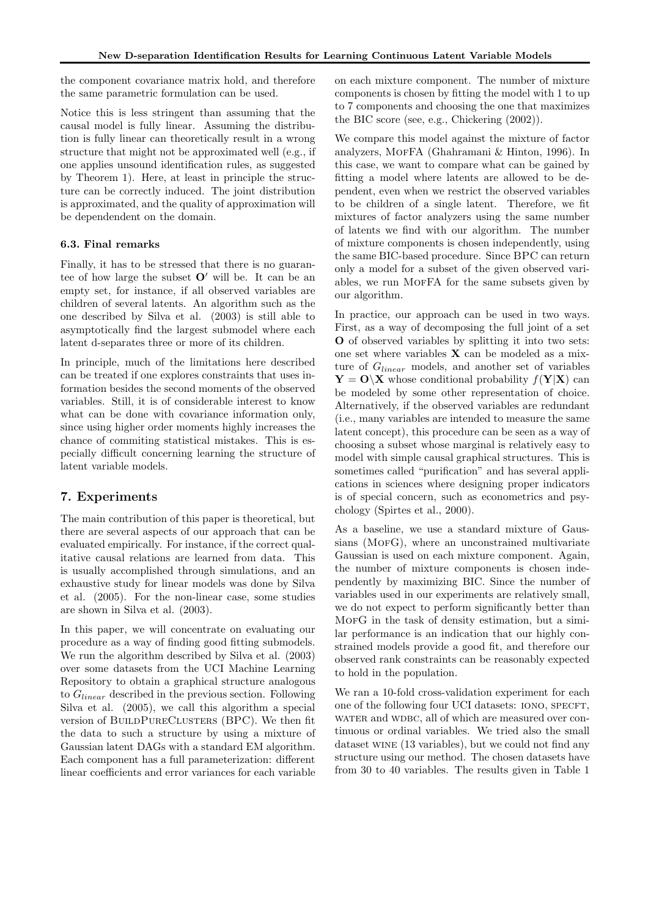the component covariance matrix hold, and therefore the same parametric formulation can be used.

Notice this is less stringent than assuming that the causal model is fully linear. Assuming the distribution is fully linear can theoretically result in a wrong structure that might not be approximated well (e.g., if one applies unsound identification rules, as suggested by Theorem 1). Here, at least in principle the structure can be correctly induced. The joint distribution is approximated, and the quality of approximation will be dependendent on the domain.

## 6.3. Final remarks

Finally, it has to be stressed that there is no guarantee of how large the subset  $O'$  will be. It can be an empty set, for instance, if all observed variables are children of several latents. An algorithm such as the one described by Silva et al. (2003) is still able to asymptotically find the largest submodel where each latent d-separates three or more of its children.

In principle, much of the limitations here described can be treated if one explores constraints that uses information besides the second moments of the observed variables. Still, it is of considerable interest to know what can be done with covariance information only, since using higher order moments highly increases the chance of commiting statistical mistakes. This is especially difficult concerning learning the structure of latent variable models.

# 7. Experiments

The main contribution of this paper is theoretical, but there are several aspects of our approach that can be evaluated empirically. For instance, if the correct qualitative causal relations are learned from data. This is usually accomplished through simulations, and an exhaustive study for linear models was done by Silva et al. (2005). For the non-linear case, some studies are shown in Silva et al. (2003).

In this paper, we will concentrate on evaluating our procedure as a way of finding good fitting submodels. We run the algorithm described by Silva et al. (2003) over some datasets from the UCI Machine Learning Repository to obtain a graphical structure analogous to  $G_{linear}$  described in the previous section. Following Silva et al. (2005), we call this algorithm a special version of BUILDPURECLUSTERS (BPC). We then fit the data to such a structure by using a mixture of Gaussian latent DAGs with a standard EM algorithm. Each component has a full parameterization: different linear coefficients and error variances for each variable on each mixture component. The number of mixture components is chosen by fitting the model with 1 to up to 7 components and choosing the one that maximizes the BIC score (see, e.g., Chickering (2002)).

We compare this model against the mixture of factor analyzers, MofFA (Ghahramani & Hinton, 1996). In this case, we want to compare what can be gained by fitting a model where latents are allowed to be dependent, even when we restrict the observed variables to be children of a single latent. Therefore, we fit mixtures of factor analyzers using the same number of latents we find with our algorithm. The number of mixture components is chosen independently, using the same BIC-based procedure. Since BPC can return only a model for a subset of the given observed variables, we run MofFA for the same subsets given by our algorithm.

In practice, our approach can be used in two ways. First, as a way of decomposing the full joint of a set O of observed variables by splitting it into two sets: one set where variables  $X$  can be modeled as a mixture of  $G_{linear}$  models, and another set of variables  $Y = O(X)$  whose conditional probability  $f(Y|X)$  can be modeled by some other representation of choice. Alternatively, if the observed variables are redundant (i.e., many variables are intended to measure the same latent concept), this procedure can be seen as a way of choosing a subset whose marginal is relatively easy to model with simple causal graphical structures. This is sometimes called "purification" and has several applications in sciences where designing proper indicators is of special concern, such as econometrics and psychology (Spirtes et al., 2000).

As a baseline, we use a standard mixture of Gaussians (MoFG), where an unconstrained multivariate Gaussian is used on each mixture component. Again, the number of mixture components is chosen independently by maximizing BIC. Since the number of variables used in our experiments are relatively small, we do not expect to perform significantly better than MorG in the task of density estimation, but a similar performance is an indication that our highly constrained models provide a good fit, and therefore our observed rank constraints can be reasonably expected to hold in the population.

We ran a 10-fold cross-validation experiment for each one of the following four UCI datasets: IONO, SPECFT, water and wdbc, all of which are measured over continuous or ordinal variables. We tried also the small dataset wine (13 variables), but we could not find any structure using our method. The chosen datasets have from 30 to 40 variables. The results given in Table 1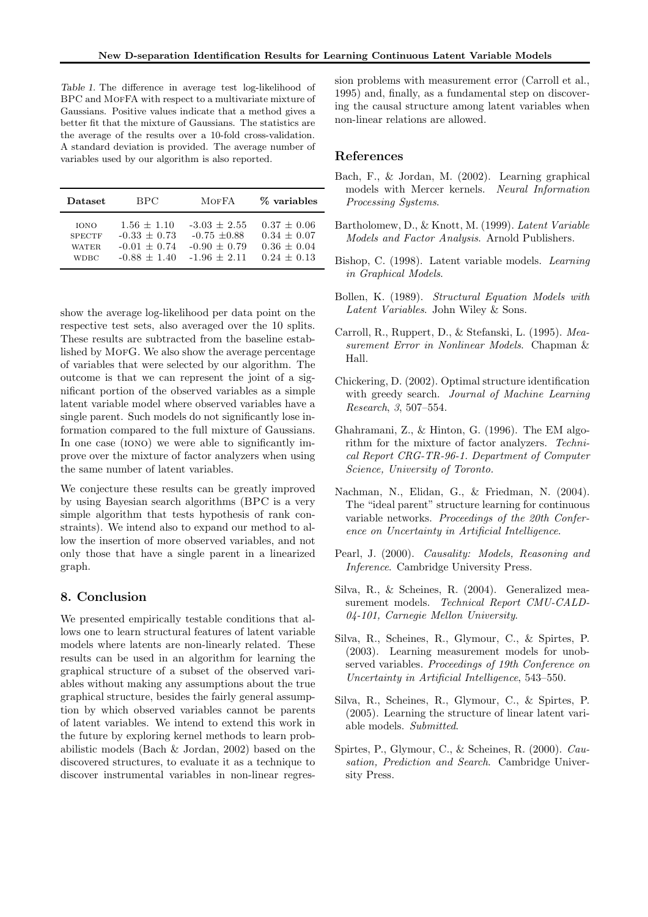Table 1. The difference in average test log-likelihood of BPC and MOFFA with respect to a multivariate mixture of Gaussians. Positive values indicate that a method gives a better fit that the mixture of Gaussians. The statistics are the average of the results over a 10-fold cross-validation. A standard deviation is provided. The average number of variables used by our algorithm is also reported.

| Dataset       | BPC.             | <b>MOFFA</b>     | % variables   |
|---------------|------------------|------------------|---------------|
| <b>TONO</b>   | $1.56 + 1.10$    | $-3.03 + 2.55$   | $0.37 + 0.06$ |
| <b>SPECTF</b> | $-0.33 \pm 0.73$ | $-0.75 \pm 0.88$ | $0.34 + 0.07$ |
| WATER.        | $-0.01 + 0.74$   | $-0.90 + 0.79$   | $0.36 + 0.04$ |
| <b>WDBC</b>   | $-0.88 + 1.40$   | $-1.96 + 2.11$   | $0.24 + 0.13$ |

show the average log-likelihood per data point on the respective test sets, also averaged over the 10 splits. These results are subtracted from the baseline established by MOFG. We also show the average percentage of variables that were selected by our algorithm. The outcome is that we can represent the joint of a significant portion of the observed variables as a simple latent variable model where observed variables have a single parent. Such models do not significantly lose information compared to the full mixture of Gaussians. In one case (IONO) we were able to significantly improve over the mixture of factor analyzers when using the same number of latent variables.

We conjecture these results can be greatly improved by using Bayesian search algorithms (BPC is a very simple algorithm that tests hypothesis of rank constraints). We intend also to expand our method to allow the insertion of more observed variables, and not only those that have a single parent in a linearized graph.

# 8. Conclusion

We presented empirically testable conditions that allows one to learn structural features of latent variable models where latents are non-linearly related. These results can be used in an algorithm for learning the graphical structure of a subset of the observed variables without making any assumptions about the true graphical structure, besides the fairly general assumption by which observed variables cannot be parents of latent variables. We intend to extend this work in the future by exploring kernel methods to learn probabilistic models (Bach & Jordan, 2002) based on the discovered structures, to evaluate it as a technique to discover instrumental variables in non-linear regression problems with measurement error (Carroll et al., 1995) and, finally, as a fundamental step on discovering the causal structure among latent variables when non-linear relations are allowed.

## References

- Bach, F., & Jordan, M. (2002). Learning graphical models with Mercer kernels. Neural Information Processing Systems.
- Bartholomew, D., & Knott, M. (1999). Latent Variable Models and Factor Analysis. Arnold Publishers.
- Bishop, C. (1998). Latent variable models. Learning in Graphical Models.
- Bollen, K. (1989). Structural Equation Models with Latent Variables. John Wiley & Sons.
- Carroll, R., Ruppert, D., & Stefanski, L. (1995). Measurement Error in Nonlinear Models. Chapman & Hall.
- Chickering, D. (2002). Optimal structure identification with greedy search. Journal of Machine Learning Research, 3, 507–554.
- Ghahramani, Z., & Hinton, G. (1996). The EM algorithm for the mixture of factor analyzers. Technical Report CRG-TR-96-1. Department of Computer Science, University of Toronto.
- Nachman, N., Elidan, G., & Friedman, N. (2004). The "ideal parent" structure learning for continuous variable networks. Proceedings of the 20th Conference on Uncertainty in Artificial Intelligence.
- Pearl, J. (2000). Causality: Models, Reasoning and Inference. Cambridge University Press.
- Silva, R., & Scheines, R. (2004). Generalized measurement models. Technical Report CMU-CALD-04-101, Carnegie Mellon University.
- Silva, R., Scheines, R., Glymour, C., & Spirtes, P. (2003). Learning measurement models for unobserved variables. Proceedings of 19th Conference on Uncertainty in Artificial Intelligence, 543–550.
- Silva, R., Scheines, R., Glymour, C., & Spirtes, P. (2005). Learning the structure of linear latent variable models. Submitted.
- Spirtes, P., Glymour, C., & Scheines, R. (2000). Causation, Prediction and Search. Cambridge University Press.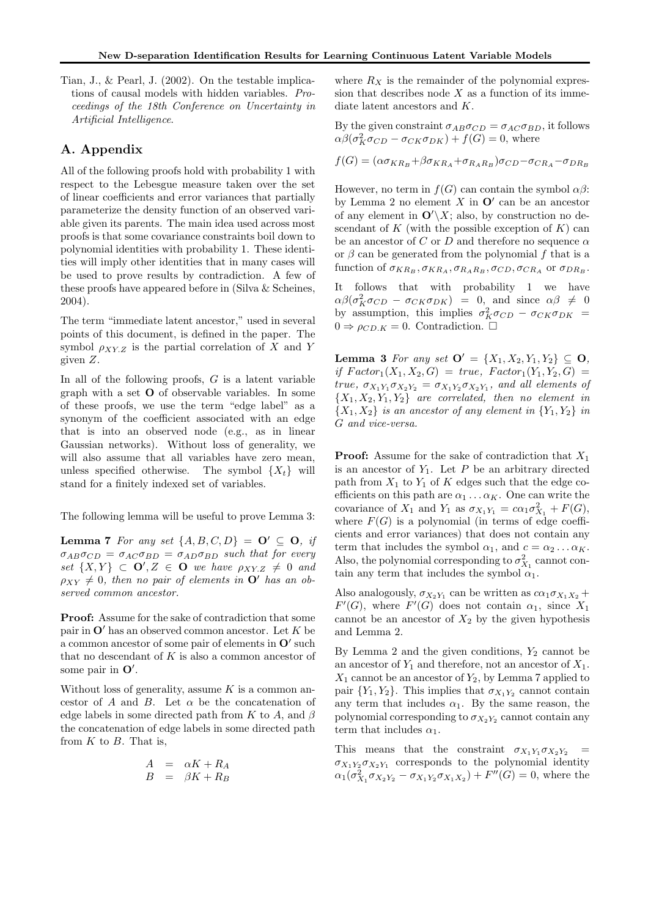Tian, J., & Pearl, J. (2002). On the testable implications of causal models with hidden variables. Proceedings of the 18th Conference on Uncertainty in Artificial Intelligence.

# A. Appendix

All of the following proofs hold with probability 1 with respect to the Lebesgue measure taken over the set of linear coefficients and error variances that partially parameterize the density function of an observed variable given its parents. The main idea used across most proofs is that some covariance constraints boil down to polynomial identities with probability 1. These identities will imply other identities that in many cases will be used to prove results by contradiction. A few of these proofs have appeared before in (Silva & Scheines, 2004).

The term "immediate latent ancestor," used in several points of this document, is defined in the paper. The symbol  $\rho_{XYZ}$  is the partial correlation of X and Y given Z.

In all of the following proofs,  $G$  is a latent variable graph with a set O of observable variables. In some of these proofs, we use the term "edge label" as a synonym of the coefficient associated with an edge that is into an observed node (e.g., as in linear Gaussian networks). Without loss of generality, we will also assume that all variables have zero mean, unless specified otherwise. The symbol  $\{X_t\}$  will stand for a finitely indexed set of variables.

The following lemma will be useful to prove Lemma 3:

**Lemma 7** For any set  $\{A, B, C, D\} = \mathbf{O}' \subseteq \mathbf{O}$ , if  $\sigma_{AB}\sigma_{CD} = \sigma_{AC}\sigma_{BD} = \sigma_{AD}\sigma_{BD}$  such that for every set  $\{X,Y\} \subset \mathbf{O}', Z \in \mathbf{O}$  we have  $\rho_{XY,Z} \neq 0$  and  $\rho_{XY} \neq 0$ , then no pair of elements in  $\mathbf{O}'$  has an observed common ancestor.

Proof: Assume for the sake of contradiction that some pair in  $\mathbf{O}'$  has an observed common ancestor. Let K be a common ancestor of some pair of elements in  $O'$  such that no descendant of  $K$  is also a common ancestor of some pair in  $O'$ .

Without loss of generality, assume  $K$  is a common ancestor of  $A$  and  $B$ . Let  $\alpha$  be the concatenation of edge labels in some directed path from K to A, and  $\beta$ the concatenation of edge labels in some directed path from  $K$  to  $B$ . That is,

$$
\begin{array}{rcl}\nA & = & \alpha K + R_A \\
B & = & \beta K + R_B\n\end{array}
$$

where  $R_X$  is the remainder of the polynomial expression that describes node  $X$  as a function of its immediate latent ancestors and K.

By the given constraint  $\sigma_{AB}\sigma_{CD} = \sigma_{AC}\sigma_{BD}$ , it follows  $\alpha\beta(\sigma_K^2 \sigma_{CD} - \sigma_{CK} \sigma_{DK}) + f(G) = 0$ , where

 $f(G) = (\alpha \sigma_{KR_B} + \beta \sigma_{KR_A} + \sigma_{R_A R_B}) \sigma_{CD} - \sigma_{CR_A} - \sigma_{DR_B}$ 

However, no term in  $f(G)$  can contain the symbol  $\alpha\beta$ : by Lemma 2 no element  $X$  in  $O'$  can be an ancestor of any element in  $\mathbf{O}'\backslash X$ ; also, by construction no descendant of K (with the possible exception of  $K$ ) can be an ancestor of C or D and therefore no sequence  $\alpha$ or  $\beta$  can be generated from the polynomial f that is a function of  $\sigma_{KR_B}, \sigma_{KR_A}, \sigma_{R_A R_B}, \sigma_{CD}, \sigma_{CR_A}$  or  $\sigma_{DR_B}$ .

It follows that with probability 1 we have  $\alpha\beta(\sigma_K^2\sigma_{CD} - \sigma_{CK}\sigma_{DK}) = 0$ , and since  $\alpha\beta \neq 0$ by assumption, this implies  $\sigma_K^2 \sigma_{CD} - \sigma_{CK} \sigma_{DK}$  =  $0 \Rightarrow \rho_{CD,K} = 0$ . Contradiction.  $\square$ 

Lemma 3 For any set  $\mathbf{O}' = \{X_1, X_2, Y_1, Y_2\} \subseteq \mathbf{O}$ , if  $Factor_1(X_1, X_2, G) = true, Factor_1(Y_1, Y_2, G) =$ true,  $\sigma_{X_1 Y_1} \sigma_{X_2 Y_2} = \sigma_{X_1 Y_2} \sigma_{X_2 Y_1}$ , and all elements of  ${X_1, X_2, Y_1, Y_2}$  are correlated, then no element in  ${X_1, X_2}$  is an ancestor of any element in  ${Y_1, Y_2}$  in G and vice-versa.

**Proof:** Assume for the sake of contradiction that  $X_1$ is an ancestor of  $Y_1$ . Let  $P$  be an arbitrary directed path from  $X_1$  to  $Y_1$  of K edges such that the edge coefficients on this path are  $\alpha_1 \dots \alpha_K$ . One can write the covariance of  $X_1$  and  $Y_1$  as  $\sigma_{X_1 Y_1} = c \alpha_1 \sigma_{X_1}^2 + F(G)$ , where  $F(G)$  is a polynomial (in terms of edge coefficients and error variances) that does not contain any term that includes the symbol  $\alpha_1$ , and  $c = \alpha_2 \dots \alpha_K$ . Also, the polynomial corresponding to  $\sigma_{X_1}^2$  cannot contain any term that includes the symbol  $\alpha_1$ .

Also analogously,  $\sigma_{X_2Y_1}$  can be written as  $c\alpha_1\sigma_{X_1X_2} +$  $F'(G)$ , where  $F'(G)$  does not contain  $\alpha_1$ , since  $X_1$ cannot be an ancestor of  $X_2$  by the given hypothesis and Lemma 2.

By Lemma 2 and the given conditions,  $Y_2$  cannot be an ancestor of  $Y_1$  and therefore, not an ancestor of  $X_1$ .  $X_1$  cannot be an ancestor of  $Y_2$ , by Lemma 7 applied to pair  ${Y_1, Y_2}$ . This implies that  $\sigma_{X_1Y_2}$  cannot contain any term that includes  $\alpha_1$ . By the same reason, the polynomial corresponding to  $\sigma_{X_2Y_2}$  cannot contain any term that includes  $\alpha_1$ .

This means that the constraint  $\sigma_{X_1 Y_1} \sigma_{X_2 Y_2}$  =  $\sigma_{X_1 Y_2} \sigma_{X_2 Y_1}$  corresponds to the polynomial identity  $\alpha_1(\sigma_{X_1}^2 \sigma_{X_2 Y_2} - \sigma_{X_1 Y_2} \sigma_{X_1 X_2}) + F''(G) = 0$ , where the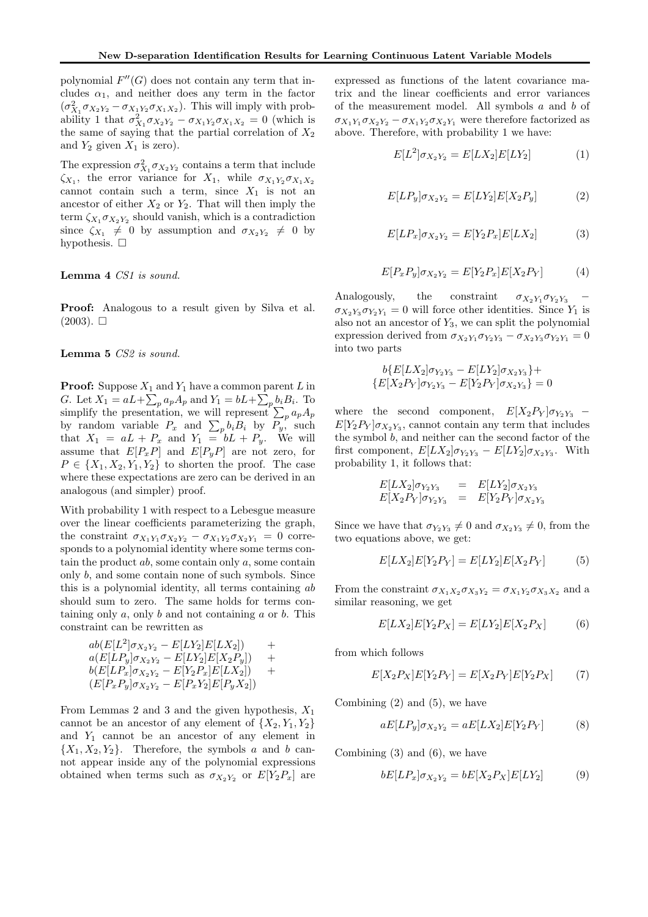polynomial  $F''(G)$  does not contain any term that includes  $\alpha_1$ , and neither does any term in the factor  $(\sigma_{X_1}^2 \sigma_{X_2 Y_2} - \sigma_{X_1 Y_2} \sigma_{X_1 X_2})$ . This will imply with probability 1 that  $\sigma_{X_1}^2 \sigma_{X_2 Y_2} - \sigma_{X_1 Y_2} \sigma_{X_1 X_2} = 0$  (which is the same of saying that the partial correlation of  $X_2$ and  $Y_2$  given  $X_1$  is zero).

The expression  $\sigma_{X_1}^2 \sigma_{X_2 Y_2}$  contains a term that include  $\zeta_{X_1}$ , the error variance for  $X_1$ , while  $\sigma_{X_1Y_2}\sigma_{X_1X_2}$ cannot contain such a term, since  $X_1$  is not an ancestor of either  $X_2$  or  $Y_2$ . That will then imply the term  $\zeta_{X_1} \sigma_{X_2 Y_2}$  should vanish, which is a contradiction since  $\zeta_{X_1} \neq 0$  by assumption and  $\sigma_{X_2Y_2} \neq 0$  by hypothesis.  $\square$ 

#### Lemma 4 CS1 is sound.

Proof: Analogous to a result given by Silva et al.  $(2003)$ .  $\square$ 

#### Lemma 5 CS2 is sound.

**Proof:** Suppose  $X_1$  and  $Y_1$  have a common parent L in G. Let  $X_1 = aL + \sum_p a_p A_p$  and  $Y_1 = bL + \sum_p b_i B_i$ . To simplify the presentation, we will represent  $\sum_{p} a_p A_p$ by random variable  $P_x$  and  $\sum_p b_i B_i$  by  $P_y$ , such that  $X_1 = aL + P_x$  and  $Y_1 = bL + P_y$ . We will assume that  $E[P_xP]$  and  $E[P_yP]$  are not zero, for  $P \in \{X_1, X_2, Y_1, Y_2\}$  to shorten the proof. The case where these expectations are zero can be derived in an analogous (and simpler) proof.

With probability 1 with respect to a Lebesgue measure over the linear coefficients parameterizing the graph, the constraint  $\sigma_{X_1Y_1}\sigma_{X_2Y_2} - \sigma_{X_1Y_2}\sigma_{X_2Y_1} = 0$  corresponds to a polynomial identity where some terms contain the product  $ab$ , some contain only  $a$ , some contain only b, and some contain none of such symbols. Since this is a polynomial identity, all terms containing ab should sum to zero. The same holds for terms containing only  $a$ , only  $b$  and not containing  $a$  or  $b$ . This constraint can be rewritten as

$$
ab(E[L^2]\sigma_{X_2Y_2} - E[LY_2]E[LX_2]) +a(E[LP_y]\sigma_{X_2Y_2} - E[LY_2]E[X_2P_y]) +b(E[LP_x]\sigma_{X_2Y_2} - E[Y_2P_x]E[LX_2]) +(E[P_xP_y]\sigma_{X_2Y_2} - E[P_xY_2]E[P_yX_2])
$$

From Lemmas 2 and 3 and the given hypothesis,  $X_1$ cannot be an ancestor of any element of  $\{X_2, Y_1, Y_2\}$ and  $Y_1$  cannot be an ancestor of any element in  ${X_1, X_2, Y_2}.$  Therefore, the symbols a and b cannot appear inside any of the polynomial expressions obtained when terms such as  $\sigma_{X_2Y_2}$  or  $E[Y_2P_x]$  are expressed as functions of the latent covariance matrix and the linear coefficients and error variances of the measurement model. All symbols  $a$  and  $b$  of  $\sigma_{X_1Y_1}\sigma_{X_2Y_2} - \sigma_{X_1Y_2}\sigma_{X_2Y_1}$  were therefore factorized as above. Therefore, with probability 1 we have:

$$
E[L^2]\sigma_{X_2Y_2} = E[LX_2]E[LY_2]
$$
 (1)

$$
E[LP_y]\sigma_{X_2Y_2} = E[LY_2]E[X_2P_y]
$$
 (2)

$$
E[LP_x]\sigma_{X_2Y_2} = E[Y_2P_x]E[LX_2]
$$
 (3)

$$
E[P_x P_y] \sigma_{X_2 Y_2} = E[Y_2 P_x] E[X_2 P_Y]
$$
 (4)

Analogously, the constraint  $\sigma_{X_2Y_1}\sigma_{Y_2Y_3}$  $\sigma_{X_2Y_3}\sigma_{Y_2Y_1} = 0$  will force other identities. Since  $Y_1$  is also not an ancestor of  $Y_3$ , we can split the polynomial expression derived from  $\sigma_{X_2Y_1}\sigma_{Y_2Y_3} - \sigma_{X_2Y_3}\sigma_{Y_2Y_1} = 0$ into two parts

$$
b\{E[LX_2]\sigma_{Y_2Y_3} - E[LY_2]\sigma_{X_2Y_3}\} +\{E[X_2P_Y]\sigma_{Y_2Y_3} - E[Y_2P_Y]\sigma_{X_2Y_3}\} = 0
$$

where the second component,  $E[X_2P_Y]\sigma_{Y_2Y_3}$  –  $E[Y_2P_Y]\sigma_{X_2Y_3}$ , cannot contain any term that includes the symbol b, and neither can the second factor of the first component,  $E[LX_2]\sigma_{Y_2Y_3} - E[LY_2]\sigma_{X_2Y_3}$ . With probability 1, it follows that:

$$
E[LX_2]\sigma_{Y_2Y_3} = E[LY_2]\sigma_{X_2Y_3}
$$
  

$$
E[X_2P_Y]\sigma_{Y_2Y_3} = E[Y_2P_Y]\sigma_{X_2Y_3}
$$

Since we have that  $\sigma_{Y_2Y_3} \neq 0$  and  $\sigma_{X_2Y_3} \neq 0$ , from the two equations above, we get:

$$
E[LX_2]E[Y_2P_Y] = E[LY_2]E[X_2P_Y] \tag{5}
$$

From the constraint  $\sigma_{X_1X_2}\sigma_{X_3Y_2} = \sigma_{X_1Y_2}\sigma_{X_3X_2}$  and a similar reasoning, we get

$$
E[LX_2]E[Y_2P_X] = E[LY_2]E[X_2P_X] \tag{6}
$$

from which follows

$$
E[X_2 P_X]E[Y_2 P_Y] = E[X_2 P_Y]E[Y_2 P_X]
$$
 (7)

Combining  $(2)$  and  $(5)$ , we have

$$
aE[LP_y]\sigma_{X_2Y_2} = aE[LX_2]E[Y_2P_Y] \tag{8}
$$

Combining (3) and (6), we have

$$
bE[LP_x]\sigma_{X_2Y_2} = bE[X_2P_X]E[LY_2] \tag{9}
$$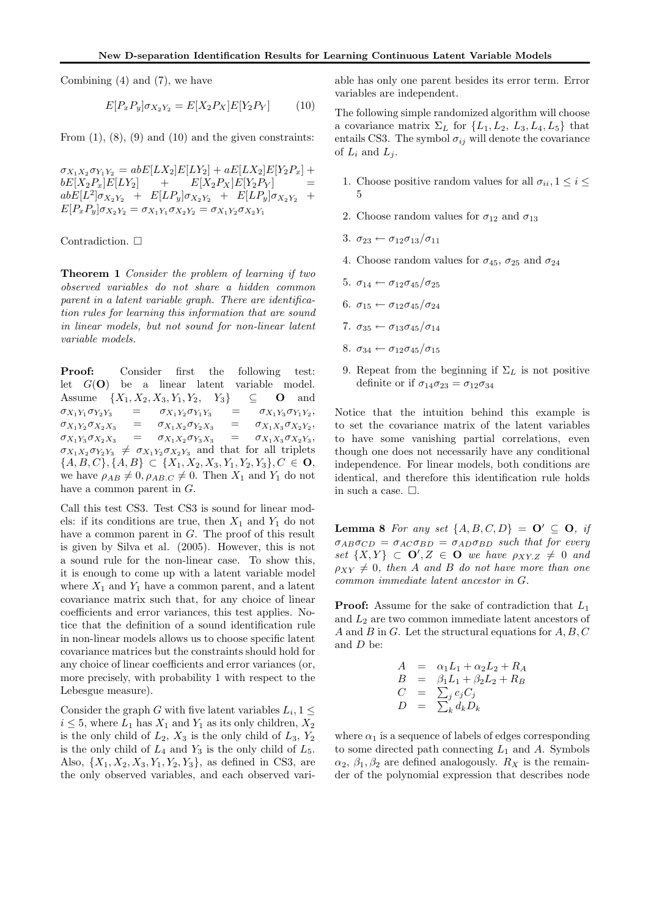Combining (4) and (7), we have

$$
E[P_x P_y] \sigma_{X_2 Y_2} = E[X_2 P_X] E[Y_2 P_Y]
$$
 (10)

From  $(1)$ ,  $(8)$ ,  $(9)$  and  $(10)$  and the given constraints:

 $\sigma_{X_1X_2}\sigma_{Y_1Y_2} = abE[LX_2]E[LY_2] + aE[LX_2]E[Y_2P_x] +$  $bE[X_2P_x]E[LY_2]$  +  $E[X_2P_X]E[Y_2P_Y]$  $abE[L^2]\sigma_{X_2Y_2} + E[LP_y]\sigma_{X_2Y_2} + E[LP_y]\sigma_{X_2Y_2} +$  $E[P_xP_y]\sigma_{X_2Y_2} = \sigma_{X_1Y_1}\sigma_{X_2Y_2} = \sigma_{X_1Y_2}\sigma_{X_2Y_1}$ 

Contradiction.  $\Box$ 

Theorem 1 Consider the problem of learning if two observed variables do not share a hidden common parent in a latent variable graph. There are identification rules for learning this information that are sound in linear models, but not sound for non-linear latent variable models.

Proof: Consider first the following test: let  $G(\mathbf{O})$  be a linear latent variable model. Assume  $\{X_1, X_2, X_3, Y_1, Y_2, Y_3\}$   $\subseteq$  **O** and  $\sigma_{X_1Y_1}\sigma_{Y_2Y_3} = \sigma_{X_1Y_2}\sigma_{Y_1Y_3} =$  $\sigma_{X_1Y_3}\sigma_{Y_1Y_2},$  $\sigma_{X_1Y_2}\sigma_{X_2X_3}$  =  $\sigma_{X_1X_2}\sigma_{Y_2X_3}$  =  $\sigma_{X_1X_3}\sigma_{X_2Y_2},$  $\sigma_{X_1Y_3}\sigma_{X_2X_3} = \sigma_{X_1X_2}\sigma_{Y_3X_3} =$  $\sigma_{X_1X_3}\sigma_{X_2Y_3},$  $\sigma_{X_1X_2}\sigma_{Y_2Y_3} \neq \sigma_{X_1Y_2}\sigma_{X_2Y_3}$  and that for all triplets  $\{A, B, C\}, \{A, B\} \subset \{X_1, X_2, X_3, Y_1, Y_2, Y_3\}, C \in \mathbf{O},$ we have  $\rho_{AB} \neq 0$ ,  $\rho_{AB,C} \neq 0$ . Then  $X_1$  and  $Y_1$  do not have a common parent in  $G$ .

Call this test CS3. Test CS3 is sound for linear models: if its conditions are true, then  $X_1$  and  $Y_1$  do not have a common parent in G. The proof of this result is given by Silva et al. (2005). However, this is not a sound rule for the non-linear case. To show this, it is enough to come up with a latent variable model where  $X_1$  and  $Y_1$  have a common parent, and a latent covariance matrix such that, for any choice of linear coefficients and error variances, this test applies. Notice that the definition of a sound identification rule in non-linear models allows us to choose specific latent covariance matrices but the constraints should hold for any choice of linear coefficients and error variances (or, more precisely, with probability 1 with respect to the Lebesgue measure).

Consider the graph G with five latent variables  $L_i, 1 \leq$  $i \leq 5$ , where  $L_1$  has  $X_1$  and  $Y_1$  as its only children,  $X_2$ is the only child of  $L_2$ ,  $X_3$  is the only child of  $L_3$ ,  $Y_2$ is the only child of  $L_4$  and  $Y_3$  is the only child of  $L_5$ . Also,  $\{X_1, X_2, X_3, Y_1, Y_2, Y_3\}$ , as defined in CS3, are the only observed variables, and each observed variable has only one parent besides its error term. Error variables are independent.

The following simple randomized algorithm will choose a covariance matrix  $\Sigma_L$  for  $\{L_1, L_2, L_3, L_4, L_5\}$  that entails CS3. The symbol  $\sigma_{ij}$  will denote the covariance of  $L_i$  and  $L_i$ .

- 1. Choose positive random values for all  $\sigma_{ii}$ ,  $1 \leq i \leq$ 5
- 2. Choose random values for  $\sigma_{12}$  and  $\sigma_{13}$
- 3.  $\sigma_{23} \leftarrow \sigma_{12} \sigma_{13} / \sigma_{11}$
- 4. Choose random values for  $\sigma_{45}$ ,  $\sigma_{25}$  and  $\sigma_{24}$
- 5.  $\sigma_{14} \leftarrow \sigma_{12} \sigma_{45} / \sigma_{25}$
- 6.  $\sigma_{15} \leftarrow \sigma_{12} \sigma_{45} / \sigma_{24}$
- 7.  $\sigma_{35} \leftarrow \sigma_{13} \sigma_{45} / \sigma_{14}$
- 8.  $\sigma_{34} \leftarrow \sigma_{12} \sigma_{45} / \sigma_{15}$
- 9. Repeat from the beginning if  $\Sigma_L$  is not positive definite or if  $\sigma_{14}\sigma_{23} = \sigma_{12}\sigma_{34}$

Notice that the intuition behind this example is to set the covariance matrix of the latent variables to have some vanishing partial correlations, even though one does not necessarily have any conditional independence. For linear models, both conditions are identical, and therefore this identification rule holds in such a case.  $\Box$ .

**Lemma 8** For any set  $\{A, B, C, D\} = \mathbf{O}' \subseteq \mathbf{O}$ , if  $\sigma_{AB}\sigma_{CD} = \sigma_{AC}\sigma_{BD} = \sigma_{AD}\sigma_{BD}$  such that for every set  $\{X,Y\} \subset \mathbf{O}', Z \in \mathbf{O}$  we have  $\rho_{XY,Z} \neq 0$  and  $\rho_{XY} \neq 0$ , then A and B do not have more than one common immediate latent ancestor in G.

**Proof:** Assume for the sake of contradiction that  $L_1$ and  $L_2$  are two common immediate latent ancestors of A and B in G. Let the structural equations for  $A, B, C$ and D be:

$$
A = \alpha_1 L_1 + \alpha_2 L_2 + R_A
$$
  
\n
$$
B = \beta_1 L_1 + \beta_2 L_2 + R_B
$$
  
\n
$$
C = \sum_j c_j C_j
$$
  
\n
$$
D = \sum_k d_k D_k
$$

where  $\alpha_1$  is a sequence of labels of edges corresponding to some directed path connecting  $L_1$  and  $A$ . Symbols  $\alpha_2, \beta_1, \beta_2$  are defined analogously.  $R_X$  is the remainder of the polynomial expression that describes node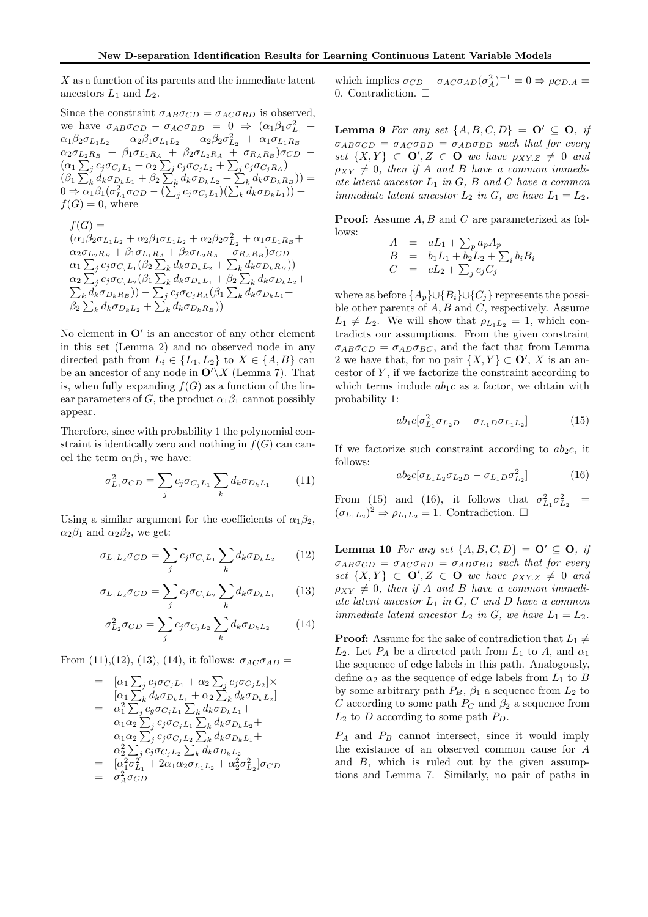$X$  as a function of its parents and the immediate latent ancestors  $L_1$  and  $L_2$ .

Since the constraint  $\sigma_{AB}\sigma_{CD} = \sigma_{AC}\sigma_{BD}$  is observed, we have  $\sigma_{AB}\sigma_{CD} - \sigma_{AC}\sigma_{BD} = 0 \Rightarrow (\alpha_1\beta_1\sigma_{L_1}^2 +$  $\alpha_1\beta_2\sigma_{L_1L_2} + \alpha_2\beta_1\sigma_{L_1L_2} + \alpha_2\beta_2\sigma_{L_2}^2 + \alpha_1\sigma_{L_1R_B}$  $\alpha_2 \sigma_{L_2R_B}$  +  $\beta_1 \sigma_{L_1R_A}$  +  $\beta_2 \sigma_{L_2R_A}$  +  $\sigma_{R_AR_B}$ ) $\sigma_{CD}$  - $(\alpha_1\sum_j c_j\sigma_{C_jL_1} + \alpha_2\sum_j c_j\sigma_{C_jL_2} + \sum_j c_j\sigma_{C_jR_A})$  $(\beta_1 \sum_k d_k \sigma_{D_k L_1} + \beta_2 \sum_k d_k \sigma_{D_k L_2} + \sum_k d_k \sigma_{D_k R_B})$ ) =  $0 \Rightarrow \alpha_1 \beta_1 (\sigma_{L_1}^2 \sigma_{CD} - (\sum_j^{\infty} c_j \sigma_{C_jL_1})(\sum_k^{\infty} d_k \sigma_{D_kL_1})) +$  $f(G) = 0$ , where

 $f(G) =$  $(\alpha_1 \beta_2 \sigma_{L_1L_2} + \alpha_2 \beta_1 \sigma_{L_1L_2} + \alpha_2 \beta_2 \sigma_{L_2}^2 + \alpha_1 \sigma_{L_1R_B} +$  $\alpha_2 \sigma_{L_2R_B} + \beta_1 \sigma_{L_1R_A} + \beta_2 \sigma_{L_2R_A} + \sigma_{R_AR_B}) \sigma_{CD} \alpha_1 \sum_j c_j \sigma_{C_j L_1} (\beta_2 \sum_k d_k \sigma_{D_k L_2} + \sum_k d_k \sigma_{D_k R_B})) \alpha_2 \sum_j c_j \sigma_{C_jL_2} (\beta_1 \sum_k d_k \sigma_{D_kL_1} + \beta_2 \sum_k \ \sum_k d_k \sigma_{D_kR_B})) - \sum_i c_j \sigma_{C_jR_A} (\beta_1 \sum_k d_k)$  $d_k \sigma_{D_k L_2} +$  $\left( \frac{1}{k} d_k \sigma_{D_k R_B} \right) - \sum_j c_j \sigma_{C_j R_A} (\beta_1 \sum_k d_k \sigma_{D_k L_1} +$  $\beta_2 \sum_k d_k \sigma_{D_k L_2} + \sum_k d_k \sigma_{D_k R_B}))$ 

No element in  $O'$  is an ancestor of any other element in this set (Lemma 2) and no observed node in any directed path from  $L_i \in \{L_1, L_2\}$  to  $X \in \{A, B\}$  can be an ancestor of any node in  $\mathbf{O}'\setminus X$  (Lemma 7). That is, when fully expanding  $f(G)$  as a function of the linear parameters of G, the product  $\alpha_1\beta_1$  cannot possibly appear.

Therefore, since with probability 1 the polynomial constraint is identically zero and nothing in  $f(G)$  can cancel the term  $\alpha_1\beta_1$ , we have:

$$
\sigma_{L_1}^2 \sigma_{CD} = \sum_j c_j \sigma_{C_j L_1} \sum_k d_k \sigma_{D_k L_1} \qquad (11)
$$

Using a similar argument for the coefficients of  $\alpha_1\beta_2$ ,  $\alpha_2\beta_1$  and  $\alpha_2\beta_2$ , we get:

$$
\sigma_{L_1 L_2} \sigma_{CD} = \sum_j c_j \sigma_{C_j L_1} \sum_k d_k \sigma_{D_k L_2} \qquad (12)
$$

$$
\sigma_{L_1 L_2} \sigma_{CD} = \sum_j c_j \sigma_{C_j L_2} \sum_k d_k \sigma_{D_k L_1} \qquad (13)
$$

$$
\sigma_{L_2}^2 \sigma_{CD} = \sum_j c_j \sigma_{C_j L_2} \sum_k d_k \sigma_{D_k L_2} \tag{14}
$$

From (11),(12), (13), (14), it follows:  $\sigma_{AC} \sigma_{AD} =$ 

$$
= [\alpha_1 \sum_j c_j \sigma_{C_j L_1} + \alpha_2 \sum_j c_j \sigma_{C_j L_2}] \times \n[\alpha_1 \sum_k d_k \sigma_{D_k L_1} + \alpha_2 \sum_k d_k \sigma_{D_k L_2}] \n= \alpha_1^2 \sum_j c_j \sigma_{C_j L_1} \sum_k d_k \sigma_{D_k L_1} + \n\alpha_1 \alpha_2 \sum_j c_j \sigma_{C_j L_1} \sum_k d_k \sigma_{D_k L_2} + \n\alpha_1 \alpha_2 \sum_j c_j \sigma_{C_j L_2} \sum_k d_k \sigma_{D_k L_1} + \n\alpha_2^2 \sum_j c_j \sigma_{C_j L_2} \sum_k d_k \sigma_{D_k L_2} \n= [\alpha_1^2 \sigma_{L_1}^2 + 2 \alpha_1 \alpha_2 \sigma_{L_1 L_2} + \alpha_2^2 \sigma_{L_2}^2] \sigma_{CD} \n= \sigma_A^2 \sigma_{CD}
$$

which implies  $\sigma_{CD} - \sigma_{AC} \sigma_{AD} (\sigma_A^2)^{-1} = 0 \Rightarrow \rho_{CD,A} =$ 0. Contradiction.  $\Box$ 

**Lemma 9** For any set  $\{A, B, C, D\} = \mathbf{O}' \subseteq \mathbf{O}$ , if  $\sigma_{AB}\sigma_{CD} = \sigma_{AC}\sigma_{BD} = \sigma_{AD}\sigma_{BD}$  such that for every set  $\{X,Y\} \subset \mathbf{O}', Z \in \mathbf{O}$  we have  $\rho_{XY,Z} \neq 0$  and  $\rho_{XY} \neq 0$ , then if A and B have a common immediate latent ancestor  $L_1$  in  $G$ ,  $B$  and  $C$  have a common immediate latent ancestor  $L_2$  in G, we have  $L_1 = L_2$ .

**Proof:** Assume A, B and C are parameterized as follows:

$$
A = aL_1 + \sum_p a_p A_p
$$
  
\n
$$
B = b_1 L_1 + b_2 L_2 + \sum_i b_i B_i
$$
  
\n
$$
C = cL_2 + \sum_j c_j C_j
$$

where as before  $\{A_p\} \cup \{B_i\} \cup \{C_j\}$  represents the possible other parents of  $A, B$  and  $C$ , respectively. Assume  $L_1 \neq L_2$ . We will show that  $\rho_{L_1L_2} = 1$ , which contradicts our assumptions. From the given constraint  $\sigma_{AB}\sigma_{CD} = \sigma_{AD}\sigma_{BC}$ , and the fact that from Lemma 2 we have that, for no pair  $\{X, Y\} \subset \mathbf{O}'$ , X is an ancestor of  $Y$ , if we factorize the constraint according to which terms include  $ab_1c$  as a factor, we obtain with probability 1:

$$
ab_1c[\sigma_{L_1}^2 \sigma_{L_2D} - \sigma_{L_1D} \sigma_{L_1L_2}] \tag{15}
$$

If we factorize such constraint according to  $ab_2c$ , it follows:

$$
ab_2c[\sigma_{L_1L_2}\sigma_{L_2D} - \sigma_{L_1D}\sigma_{L_2}^2]
$$
 (16)

From (15) and (16), it follows that  $\sigma_{L_1}^2 \sigma_{L_2}^2$  =  $(\sigma_{L_1L_2})^2 \Rightarrow \rho_{L_1L_2} = 1.$  Contradiction.  $\Box$ 

**Lemma 10** For any set  $\{A, B, C, D\} = \mathbf{O}' \subset \mathbf{O}$ , if  $\sigma_{AB}\sigma_{CD} = \sigma_{AC}\sigma_{BD} = \sigma_{AD}\sigma_{BD}$  such that for every set  $\{X,Y\} \subset \mathbf{O}', Z \in \mathbf{O}$  we have  $\rho_{XY,Z} \neq 0$  and  $\rho_{XY} \neq 0$ , then if A and B have a common immediate latent ancestor  $L_1$  in G, C and D have a common immediate latent ancestor  $L_2$  in G, we have  $L_1 = L_2$ .

**Proof:** Assume for the sake of contradiction that  $L_1 \neq$  $L_2$ . Let  $P_A$  be a directed path from  $L_1$  to A, and  $\alpha_1$ the sequence of edge labels in this path. Analogously, define  $\alpha_2$  as the sequence of edge labels from  $L_1$  to B by some arbitrary path  $P_B$ ,  $\beta_1$  a sequence from  $L_2$  to C according to some path  $P_C$  and  $\beta_2$  a sequence from  $L_2$  to D according to some path  $P_D$ .

 $P_A$  and  $P_B$  cannot intersect, since it would imply the existance of an observed common cause for A and B, which is ruled out by the given assumptions and Lemma 7. Similarly, no pair of paths in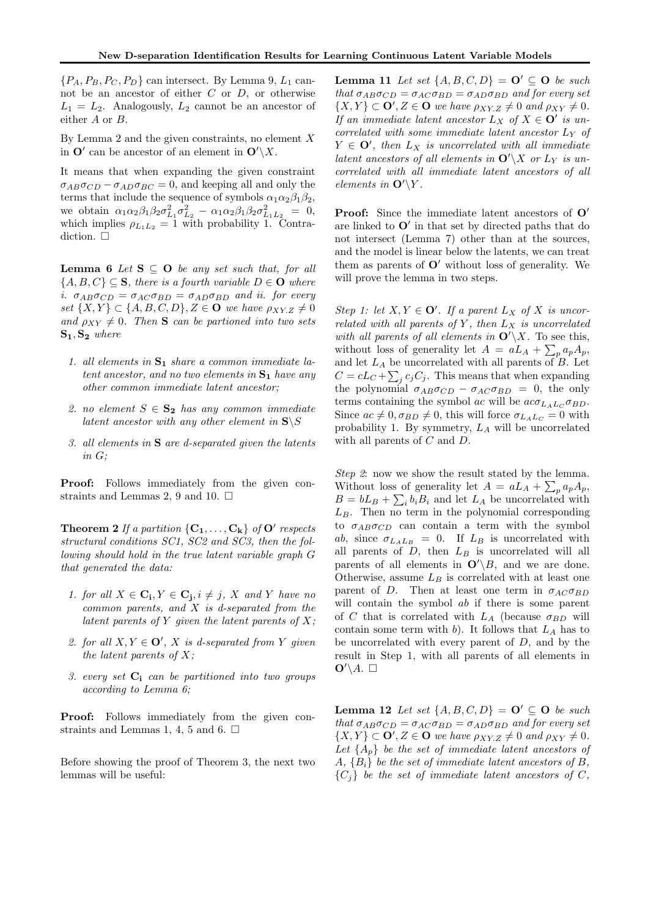${P_A, P_B, P_C, P_D}$  can intersect. By Lemma 9,  $L_1$  cannot be an ancestor of either  $C$  or  $D$ , or otherwise  $L_1 = L_2$ . Analogously,  $L_2$  cannot be an ancestor of either A or B.

By Lemma 2 and the given constraints, no element  $X$ in  $\mathbf{O}'$  can be ancestor of an element in  $\mathbf{O}'\backslash X$ .

It means that when expanding the given constraint  $\sigma_{AB}\sigma_{CD} - \sigma_{AD}\sigma_{BC} = 0$ , and keeping all and only the terms that include the sequence of symbols  $\alpha_1 \alpha_2 \beta_1 \beta_2$ , we obtain  $\alpha_1 \alpha_2 \beta_1 \beta_2 \sigma_{L_1}^2 \sigma_{L_2}^2 - \alpha_1 \alpha_2 \beta_1 \beta_2 \sigma_{L_1 L_2}^2 = 0$ , which implies  $\rho_{L_1L_2} = 1$  with probability 1. Contradiction  $\Box$ 

Lemma 6 Let  $S \subseteq O$  be any set such that, for all  ${A, B, C} \subseteq S$ , there is a fourth variable  $D \in \mathbf{O}$  where i.  $\sigma_{AB}\sigma_{CD} = \sigma_{AC}\sigma_{BD} = \sigma_{AD}\sigma_{BD}$  and ii. for every set  $\{X, Y\} \subset \{A, B, C, D\}, Z \in \mathbf{O}$  we have  $\rho_{XY,Z} \neq 0$ and  $\rho_{XY} \neq 0$ . Then **S** can be partioned into two sets  $S_1, S_2$  where

- 1. all elements in  $S_1$  share a common immediate latent ancestor, and no two elements in  $S_1$  have any other common immediate latent ancestor;
- 2. no element  $S \in \mathbf{S_2}$  has any common immediate latent ancestor with any other element in  $S\$
- 3. all elements in S are d-separated given the latents in G;

Proof: Follows immediately from the given constraints and Lemmas 2, 9 and 10.  $\Box$ 

**Theorem 2** If a partition  $\{C_1, \ldots, C_k\}$  of  $O'$  respects structural conditions SC1, SC2 and SC3, then the following should hold in the true latent variable graph G that generated the data:

- 1. for all  $X \in \mathbf{C_i}, Y \in \mathbf{C_j}, i \neq j$ , X and Y have no  $common\ parents, and X is d-separated from the$ latent parents of  $Y$  given the latent parents of  $X$ ;
- 2. for all  $X, Y \in \mathbf{O}'$ , X is d-separated from Y given the latent parents of  $X$ ;
- 3. every set  $C_i$  can be partitioned into two groups according to Lemma 6;

Proof: Follows immediately from the given constraints and Lemmas 1, 4, 5 and 6.  $\Box$ 

Before showing the proof of Theorem 3, the next two lemmas will be useful:

**Lemma 11** Let set  $\{A, B, C, D\} = \mathbf{O}' \subseteq \mathbf{O}$  be such that  $\sigma_{AB}\sigma_{CD} = \sigma_{AC}\sigma_{BD} = \sigma_{AD}\sigma_{BD}$  and for every set  $\{X,Y\} \subset \mathbf{O}'$ ,  $Z \in \mathbf{O}$  we have  $\rho_{XYZ} \neq 0$  and  $\rho_{XY} \neq 0$ . If an immediate latent ancestor  $L_X$  of  $X \in \mathbf{O}'$  is uncorrelated with some immediate latent ancestor  $L<sub>Y</sub>$  of  $Y \in \mathbf{O}'$ , then  $L_X$  is uncorrelated with all immediate latent ancestors of all elements in  $\mathbf{O}'\backslash X$  or  $L_Y$  is uncorrelated with all immediate latent ancestors of all elements in  $\mathbf{O}'\backslash Y$ .

Proof: Since the immediate latent ancestors of  $O'$ are linked to  $O'$  in that set by directed paths that do not intersect (Lemma 7) other than at the sources, and the model is linear below the latents, we can treat them as parents of  $O'$  without loss of generality. We will prove the lemma in two steps.

Step 1: let  $X, Y \in \mathbf{O}'$ . If a parent  $L_X$  of X is uncorrelated with all parents of Y, then  $L_X$  is uncorrelated with all parents of all elements in  $\mathbf{O}'\backslash X$ . To see this, without loss of generality let  $A = aL_A + \sum_p a_p A_p$ , and let  $L_A$  be uncorrelated with all parents of  $B$ . Let  $C = cL_C + \sum_j c_j C_j$ . This means that when expanding the polynomial  $\sigma_{AB}\sigma_{CD} - \sigma_{AC}\sigma_{BD} = 0$ , the only terms containing the symbol ac will be  $ac\sigma_{L_4L_C}\sigma_{BD}$ . Since  $ac \neq 0, \sigma_{BD} \neq 0$ , this will force  $\sigma_{L_A L_C} = 0$  with probability 1. By symmetry,  $L_A$  will be uncorrelated with all parents of C and D.

Step 2: now we show the result stated by the lemma. Without loss of generality let  $A = aL_A + \sum_p a_p A_p$ ,  $B = bL_B + \sum_i b_i B_i$  and let  $L_A$  be uncorrelated with  $L_B$ . Then no term in the polynomial corresponding to  $\sigma_{AB}\sigma_{CD}$  can contain a term with the symbol ab, since  $\sigma_{L_A L_B} = 0$ . If  $L_B$  is uncorrelated with all parents of  $D$ , then  $L_B$  is uncorrelated will all parents of all elements in  $\mathbf{O}'(B)$ , and we are done. Otherwise, assume  $L_B$  is correlated with at least one parent of D. Then at least one term in  $\sigma_{AC} \sigma_{BD}$ will contain the symbol ab if there is some parent of C that is correlated with  $L_A$  (because  $\sigma_{BD}$  will contain some term with b). It follows that  $L_A$  has to be uncorrelated with every parent of  $D$ , and by the result in Step 1, with all parents of all elements in  $\mathbf{O}'\backslash A.$   $\square$ 

Lemma 12 Let set  $\{A, B, C, D\} = \mathbf{O}' \subseteq \mathbf{O}$  be such that  $\sigma_{AB}\sigma_{CD} = \sigma_{AC}\sigma_{BD} = \sigma_{AD}\sigma_{BD}$  and for every set  $\{X,Y\} \subset \mathbf{O}', Z \in \mathbf{O}$  we have  $\rho_{XY,Z} \neq 0$  and  $\rho_{XY} \neq 0$ . Let  $\{A_p\}$  be the set of immediate latent ancestors of  $A, \{B_i\}$  be the set of immediate latent ancestors of B,  ${C_i}$  be the set of immediate latent ancestors of C,